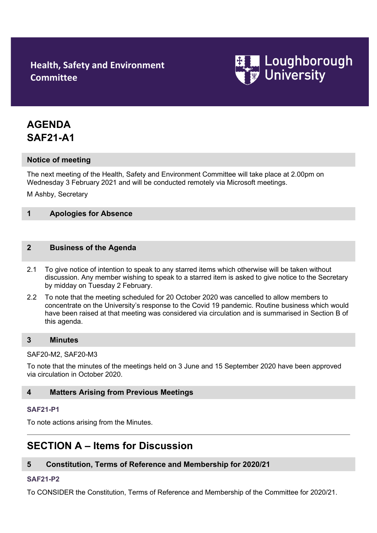## **Health, Safety and Environment Committee**



# **AGENDA SAF21-A1**

## **Notice of meeting**

The next meeting of the Health, Safety and Environment Committee will take place at 2.00pm on Wednesday 3 February 2021 and will be conducted remotely via Microsoft meetings.

M Ashby, Secretary

## **1 Apologies for Absence**

#### **2 Business of the Agenda**

- 2.1 To give notice of intention to speak to any starred items which otherwise will be taken without discussion. Any member wishing to speak to a starred item is asked to give notice to the Secretary by midday on Tuesday 2 February.
- 2.2 To note that the meeting scheduled for 20 October 2020 was cancelled to allow members to concentrate on the University's response to the Covid 19 pandemic. Routine business which would have been raised at that meeting was considered via circulation and is summarised in Section B of this agenda.

#### **3 Minutes**

#### SAF20-M2, SAF20-M3

To note that the minutes of the meetings held on 3 June and 15 September 2020 have been approved via circulation in October 2020.

#### **4 Matters Arising from Previous Meetings**

#### **[SAF21-P1](http://www.lboro.ac.uk/admin/committees/hsec/papers/2012/saf12-p32.doc)**

To note actions arising from the Minutes.

## **SECTION A – Items for Discussion**

## **5 Constitution, Terms of Reference and Membership for 2020/21**

#### **[SAF21-P2](http://www.lboro.ac.uk/admin/committees/hsec/papers/2012/saf12-p32.doc)**

To CONSIDER the Constitution, Terms of Reference and Membership of the Committee for 2020/21.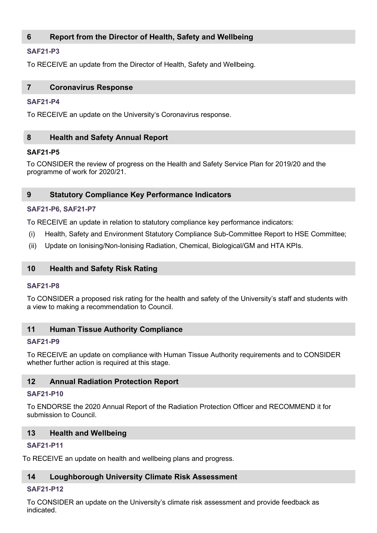## **6 Report from the Director of Health, Safety and Wellbeing**

## **[SAF21-P3](http://www.lboro.ac.uk/admin/committees/hsec/papers/2012/saf12-p32.doc)**

To RECEIVE an update from the Director of Health, Safety and Wellbeing.

#### **7 Coronavirus Response**

#### **[SAF21-P4](http://www.lboro.ac.uk/admin/committees/hsec/papers/2012/saf12-p32.doc)**

To RECEIVE an update on the University's Coronavirus response.

## **8 Health and Safety Annual Report**

#### **SAF21-P5**

To CONSIDER the review of progress on the Health and Safety Service Plan for 2019/20 and the programme of work for 2020/21.

## **9 Statutory Compliance Key Performance Indicators**

#### **[SAF21-P6](http://www.lboro.ac.uk/admin/committees/hsec/papers/2012/saf12-p32.doc), [SAF21-P7](http://www.lboro.ac.uk/admin/committees/hsec/papers/2012/saf12-p32.doc)**

To RECEIVE an update in relation to statutory compliance key performance indicators:

- (i) Health, Safety and Environment Statutory Compliance Sub-Committee Report to HSE Committee;
- (ii) Update on Ionising/Non-Ionising Radiation, Chemical, Biological/GM and HTA KPIs.

## **10 Health and Safety Risk Rating**

#### **[SAF21-P8](http://www.lboro.ac.uk/admin/committees/hsec/papers/2012/saf12-p32.doc)**

To CONSIDER a proposed risk rating for the health and safety of the University's staff and students with a view to making a recommendation to Council.

## **11 Human Tissue Authority Compliance**

#### **[SAF21-P9](http://www.lboro.ac.uk/admin/committees/hsec/papers/2012/saf12-p32.doc)**

To RECEIVE an update on compliance with Human Tissue Authority requirements and to CONSIDER whether further action is required at this stage.

## **12 Annual Radiation Protection Report**

#### **[SAF21-P1](http://www.lboro.ac.uk/admin/committees/hsec/papers/2012/saf12-p32.doc)0**

To ENDORSE the 2020 Annual Report of the Radiation Protection Officer and RECOMMEND it for submission to Council.

## **13 Health and Wellbeing**

## **[SAF21-P1](http://www.lboro.ac.uk/admin/committees/hsec/papers/2012/saf12-p32.doc)1**

To RECEIVE an update on health and wellbeing plans and progress.

## **14 Loughborough University Climate Risk Assessment**

## **[SAF21-P1](http://www.lboro.ac.uk/admin/committees/hsec/papers/2012/saf12-p32.doc)2**

To CONSIDER an update on the University's climate risk assessment and provide feedback as indicated.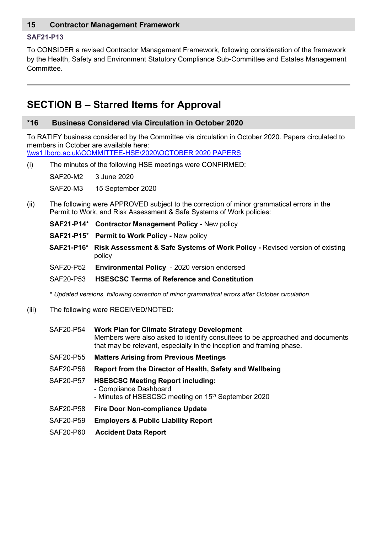## **15 Contractor Management Framework**

#### **[SAF21-P1](http://www.lboro.ac.uk/admin/committees/hsec/papers/2012/saf12-p32.doc)3**

To CONSIDER a revised Contractor Management Framework, following consideration of the framework by the Health, Safety and Environment Statutory Compliance Sub-Committee and Estates Management Committee.

## **SECTION B – Starred Items for Approval**

#### **\*16 Business Considered via Circulation in October 2020**

To RATIFY business considered by the Committee via circulation in October 2020. Papers circulated to members in October are available here:

[\\ws1.lboro.ac.uk\COMMITTEE-HSE\2020\OCTOBER 2020 PAPERS](file://ws1.lboro.ac.uk/COMMITTEE-HSE/2020/OCTOBER%202020%20PAPERS)

(i) The minutes of the following HSE meetings were CONFIRMED:

SAF20-M2 3 June 2020

SAF20-M3 15 September 2020

- (ii) The following were APPROVED subject to the correction of minor grammatical errors in the Permit to Work, and Risk Assessment & Safe Systems of Work policies:
	- **SAF21-P14**\* **Contractor Management Policy -** New policy
	- **SAF21-P15**\* **Permit to Work Policy -** New policy
	- **SAF21-P16**\* **Risk Assessment & Safe Systems of Work Policy -** Revised version of existing policy
	- SAF20-P52 **Environmental Policy**  2020 version endorsed
	- SAF20-P53 **HSESCSC Terms of Reference and Constitution**

\* *Updated versions, following correction of minor grammatical errors after October circulation*.

- (iii) The following were RECEIVED/NOTED:
	- SAF20-P54 **Work Plan for Climate Strategy Development** Members were also asked to identify consultees to be approached and documents that may be relevant, especially in the inception and framing phase.
	- SAF20-P55 **Matters Arising from Previous Meetings**
	- SAF20-P56 **Report from the Director of Health, Safety and Wellbeing**
	- SAF20-P57 **HSESCSC Meeting Report including:** - Compliance Dashboard - Minutes of HSESCSC meeting on 15<sup>th</sup> September 2020
	- SAF20-P58 **Fire Door Non-compliance Update**
	- SAF20-P59 **Employers & Public Liability Report**
	- SAF20-P60 **Accident Data Report**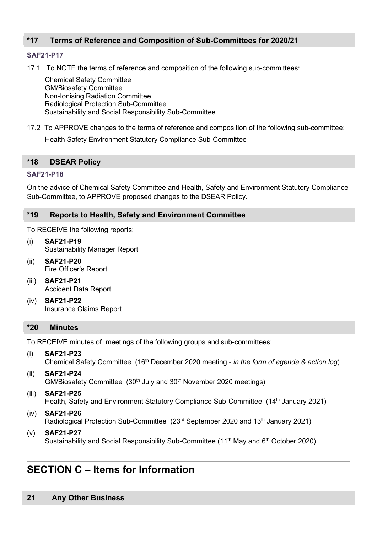## **\*17 Terms of Reference and Composition of Sub-Committees for 2020/21**

#### **[SAF21-P1](http://www.lboro.ac.uk/admin/committees/hsec/papers/2012/saf12-p32.doc)7**

17.1 To NOTE the terms of reference and composition of the following sub-committees:

Chemical Safety Committee GM/Biosafety Committee Non-Ionising Radiation Committee Radiological Protection Sub-Committee Sustainability and Social Responsibility Sub-Committee

17.2 To APPROVE changes to the terms of reference and composition of the following sub-committee:

Health Safety Environment Statutory Compliance Sub-Committee

#### **\*18 DSEAR Policy**

#### **[SAF21-P1](http://www.lboro.ac.uk/admin/committees/hsec/papers/2012/saf12-p32.doc)8**

On the advice of Chemical Safety Committee and Health, Safety and Environment Statutory Compliance Sub-Committee, to APPROVE proposed changes to the DSEAR Policy.

#### **\*19 Reports to Health, Safety and Environment Committee**

To RECEIVE the following reports:

- (i) **SAF21-P19** Sustainability Manager Report
- (ii) **SAF21-P20** Fire Officer's Report
- (iii) **SAF21-P21** Accident Data Report
- (iv) **SAF21-P22** Insurance Claims Report

#### **\*20 Minutes**

To RECEIVE minutes of meetings of the following groups and sub-committees:

- (i) **SAF21-P23** Chemical Safety Committee (16th December 2020 meeting - *in the form of agenda & action log*)
- (ii) **SAF21-P24**  $GM/B$ iosafety Committee (30<sup>th</sup> July and 30<sup>th</sup> November 2020 meetings)
- (iii) **SAF21-P25** Health, Safety and Environment Statutory Compliance Sub-Committee (14<sup>th</sup> January 2021)
- (iv) **SAF21-P26** Radiological Protection Sub-Committee (23<sup>rd</sup> September 2020 and 13<sup>th</sup> January 2021)
- (v) **SAF21-P27** Sustainability and Social Responsibility Sub-Committee (11<sup>th</sup> May and  $6<sup>th</sup>$  October 2020)

## **SECTION C – Items for Information**